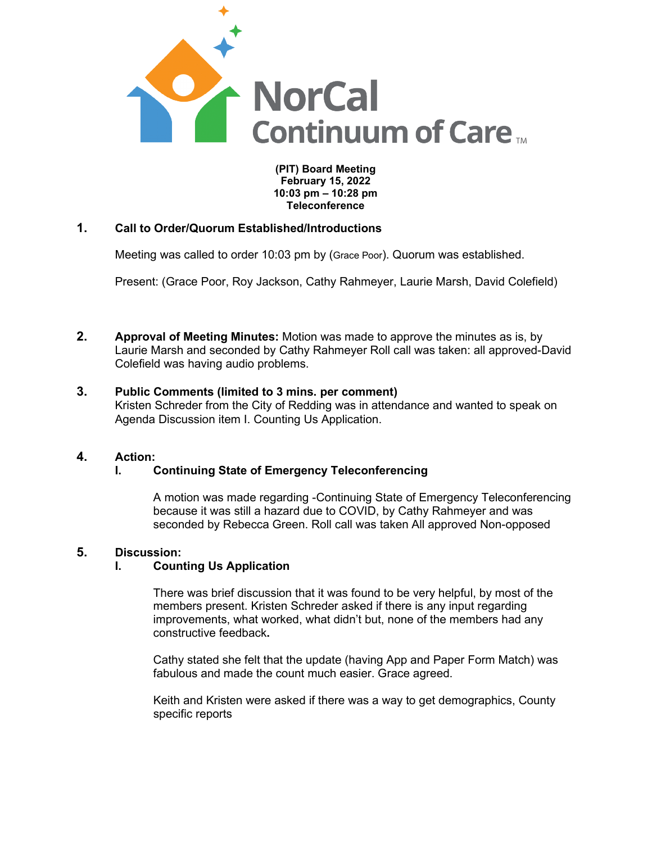

**(PIT) Board Meeting February 15, 2022 10:03 pm – 10:28 pm Teleconference**

## **1. Call to Order/Quorum Established/Introductions**

Meeting was called to order 10:03 pm by (Grace Poor). Quorum was established.

Present: (Grace Poor, Roy Jackson, Cathy Rahmeyer, Laurie Marsh, David Colefield)

- **2. Approval of Meeting Minutes:** Motion was made to approve the minutes as is, by Laurie Marsh and seconded by Cathy Rahmeyer Roll call was taken: all approved-David Colefield was having audio problems.
- **3. Public Comments (limited to 3 mins. per comment)** Kristen Schreder from the City of Redding was in attendance and wanted to speak on Agenda Discussion item I. Counting Us Application.

## **4. Action:**

### **I. Continuing State of Emergency Teleconferencing**

A motion was made regarding -Continuing State of Emergency Teleconferencing because it was still a hazard due to COVID, by Cathy Rahmeyer and was seconded by Rebecca Green. Roll call was taken All approved Non-opposed

## **5. Discussion:**

### **I. Counting Us Application**

There was brief discussion that it was found to be very helpful, by most of the members present. Kristen Schreder asked if there is any input regarding improvements, what worked, what didn't but, none of the members had any constructive feedback**.**

Cathy stated she felt that the update (having App and Paper Form Match) was fabulous and made the count much easier. Grace agreed.

Keith and Kristen were asked if there was a way to get demographics, County specific reports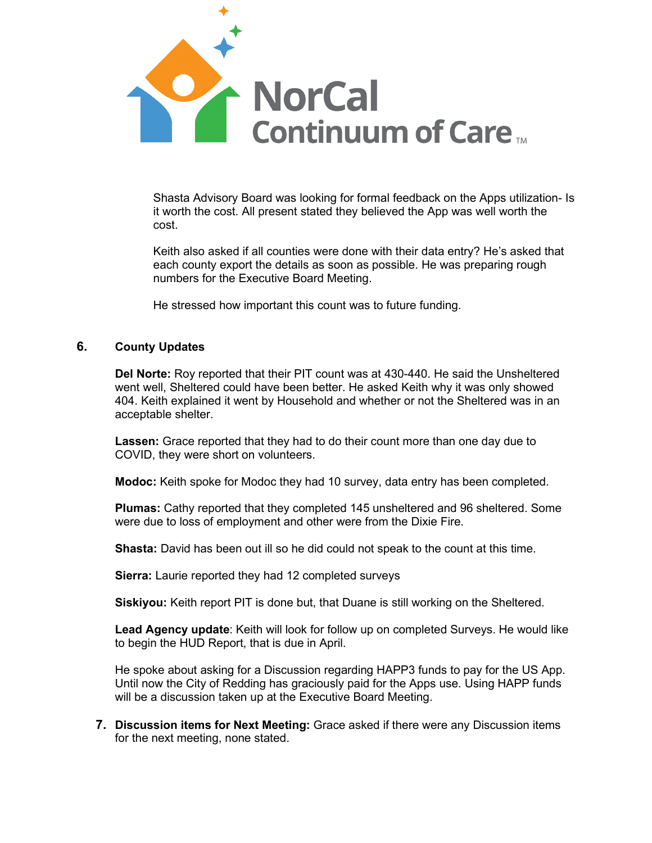

Shasta Advisory Board was looking for formal feedback on the Apps utilization- Is it worth the cost. All present stated they believed the App was well worth the cost.

Keith also asked if all counties were done with their data entry? He's asked that each county export the details as soon as possible. He was preparing rough numbers for the Executive Board Meeting.

He stressed how important this count was to future funding.

## **6. County Updates**

**Del Norte:** Roy reported that their PIT count was at 430-440. He said the Unsheltered went well, Sheltered could have been better. He asked Keith why it was only showed 404. Keith explained it went by Household and whether or not the Sheltered was in an acceptable shelter.

**Lassen:** Grace reported that they had to do their count more than one day due to COVID, they were short on volunteers.

**Modoc:** Keith spoke for Modoc they had 10 survey, data entry has been completed.

**Plumas:** Cathy reported that they completed 145 unsheltered and 96 sheltered. Some were due to loss of employment and other were from the Dixie Fire.

**Shasta:** David has been out ill so he did could not speak to the count at this time.

**Sierra:** Laurie reported they had 12 completed surveys

**Siskiyou:** Keith report PIT is done but, that Duane is still working on the Sheltered.

**Lead Agency update**: Keith will look for follow up on completed Surveys. He would like to begin the HUD Report, that is due in April.

He spoke about asking for a Discussion regarding HAPP3 funds to pay for the US App. Until now the City of Redding has graciously paid for the Apps use. Using HAPP funds will be a discussion taken up at the Executive Board Meeting.

**7. Discussion items for Next Meeting:** Grace asked if there were any Discussion items for the next meeting, none stated.